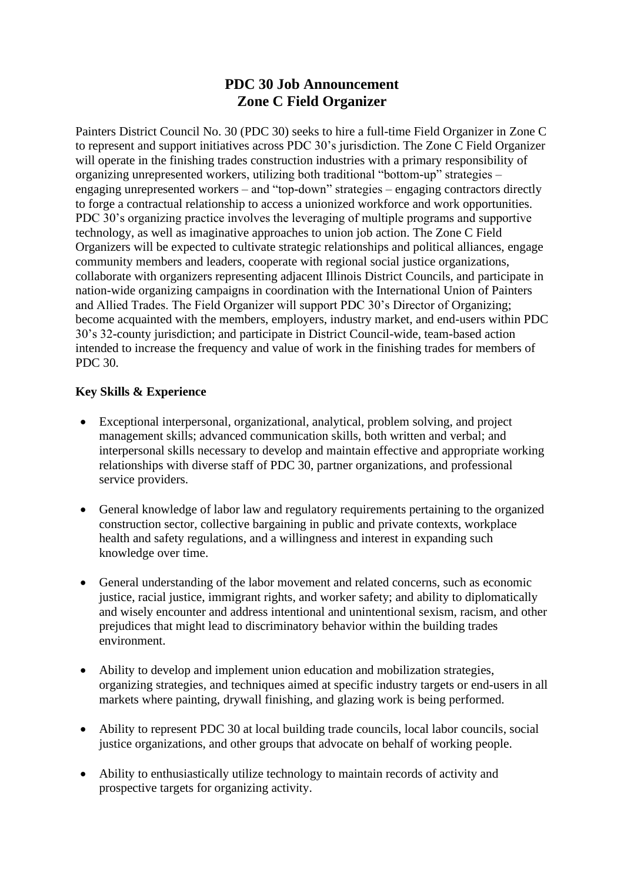# **PDC 30 Job Announcement Zone C Field Organizer**

Painters District Council No. 30 (PDC 30) seeks to hire a full-time Field Organizer in Zone C to represent and support initiatives across PDC 30's jurisdiction. The Zone C Field Organizer will operate in the finishing trades construction industries with a primary responsibility of organizing unrepresented workers, utilizing both traditional "bottom-up" strategies – engaging unrepresented workers – and "top-down" strategies – engaging contractors directly to forge a contractual relationship to access a unionized workforce and work opportunities. PDC 30's organizing practice involves the leveraging of multiple programs and supportive technology, as well as imaginative approaches to union job action. The Zone C Field Organizers will be expected to cultivate strategic relationships and political alliances, engage community members and leaders, cooperate with regional social justice organizations, collaborate with organizers representing adjacent Illinois District Councils, and participate in nation-wide organizing campaigns in coordination with the International Union of Painters and Allied Trades. The Field Organizer will support PDC 30's Director of Organizing; become acquainted with the members, employers, industry market, and end-users within PDC 30's 32-county jurisdiction; and participate in District Council-wide, team-based action intended to increase the frequency and value of work in the finishing trades for members of PDC 30.

## **Key Skills & Experience**

- Exceptional interpersonal, organizational, analytical, problem solving, and project management skills; advanced communication skills, both written and verbal; and interpersonal skills necessary to develop and maintain effective and appropriate working relationships with diverse staff of PDC 30, partner organizations, and professional service providers.
- General knowledge of labor law and regulatory requirements pertaining to the organized construction sector, collective bargaining in public and private contexts, workplace health and safety regulations, and a willingness and interest in expanding such knowledge over time.
- General understanding of the labor movement and related concerns, such as economic justice, racial justice, immigrant rights, and worker safety; and ability to diplomatically and wisely encounter and address intentional and unintentional sexism, racism, and other prejudices that might lead to discriminatory behavior within the building trades environment.
- Ability to develop and implement union education and mobilization strategies, organizing strategies, and techniques aimed at specific industry targets or end-users in all markets where painting, drywall finishing, and glazing work is being performed.
- Ability to represent PDC 30 at local building trade councils, local labor councils, social justice organizations, and other groups that advocate on behalf of working people.
- Ability to enthusiastically utilize technology to maintain records of activity and prospective targets for organizing activity.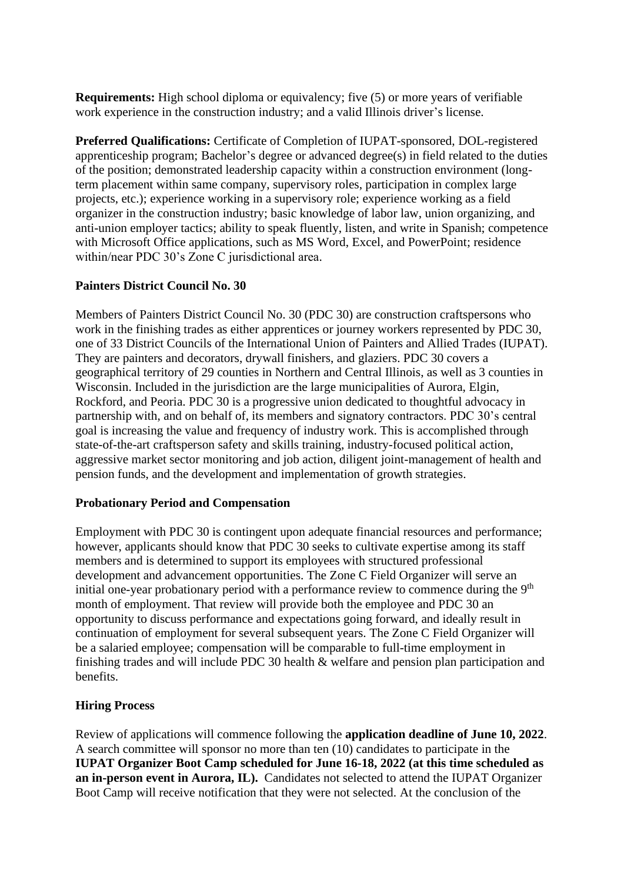**Requirements:** High school diploma or equivalency; five (5) or more years of verifiable work experience in the construction industry; and a valid Illinois driver's license.

**Preferred Qualifications:** Certificate of Completion of IUPAT-sponsored, DOL-registered apprenticeship program; Bachelor's degree or advanced degree(s) in field related to the duties of the position; demonstrated leadership capacity within a construction environment (longterm placement within same company, supervisory roles, participation in complex large projects, etc.); experience working in a supervisory role; experience working as a field organizer in the construction industry; basic knowledge of labor law, union organizing, and anti-union employer tactics; ability to speak fluently, listen, and write in Spanish; competence with Microsoft Office applications, such as MS Word, Excel, and PowerPoint; residence within/near PDC 30's Zone C jurisdictional area.

## **Painters District Council No. 30**

Members of Painters District Council No. 30 (PDC 30) are construction craftspersons who work in the finishing trades as either apprentices or journey workers represented by PDC 30, one of 33 District Councils of the International Union of Painters and Allied Trades (IUPAT). They are painters and decorators, drywall finishers, and glaziers. PDC 30 covers a geographical territory of 29 counties in Northern and Central Illinois, as well as 3 counties in Wisconsin. Included in the jurisdiction are the large municipalities of Aurora, Elgin, Rockford, and Peoria. PDC 30 is a progressive union dedicated to thoughtful advocacy in partnership with, and on behalf of, its members and signatory contractors. PDC 30's central goal is increasing the value and frequency of industry work. This is accomplished through state-of-the-art craftsperson safety and skills training, industry-focused political action, aggressive market sector monitoring and job action, diligent joint-management of health and pension funds, and the development and implementation of growth strategies.

#### **Probationary Period and Compensation**

Employment with PDC 30 is contingent upon adequate financial resources and performance; however, applicants should know that PDC 30 seeks to cultivate expertise among its staff members and is determined to support its employees with structured professional development and advancement opportunities. The Zone C Field Organizer will serve an initial one-year probationary period with a performance review to commence during the  $9<sup>th</sup>$ month of employment. That review will provide both the employee and PDC 30 an opportunity to discuss performance and expectations going forward, and ideally result in continuation of employment for several subsequent years. The Zone C Field Organizer will be a salaried employee; compensation will be comparable to full-time employment in finishing trades and will include PDC 30 health & welfare and pension plan participation and benefits.

## **Hiring Process**

Review of applications will commence following the **application deadline of June 10, 2022**. A search committee will sponsor no more than ten (10) candidates to participate in the **IUPAT Organizer Boot Camp scheduled for June 16-18, 2022 (at this time scheduled as an in-person event in Aurora, IL).** Candidates not selected to attend the IUPAT Organizer Boot Camp will receive notification that they were not selected. At the conclusion of the